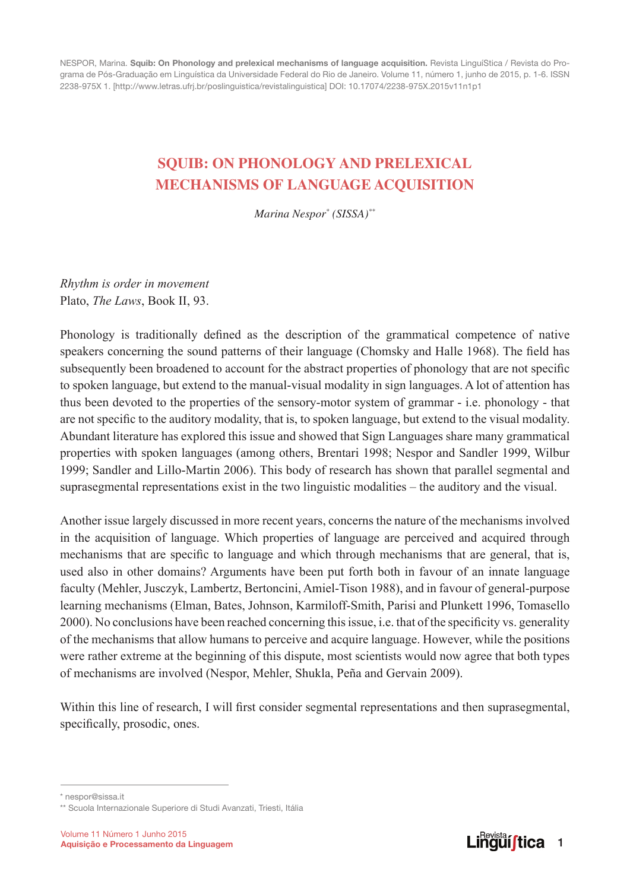NESPOR, Marina. Squib: On Phonology and prelexical mechanisms of language acquisition. Revista LinguíStica / Revista do Programa de Pós-Graduação em Linguística da Universidade Federal do Rio de Janeiro. Volume 11, número 1, junho de 2015, p. 1-6. ISSN 2238-975X 1. [http://www.letras.ufrj.br/poslinguistica/revistalinguistica] DOI: 10.17074/2238-975X.2015v11n1p1

## **SQUIB: on phonology and prelexical mechanisms of language acquisition**

*Marina Nespor\* (SISSA)\*\**

*Rhythm is order in movement* Plato, *The Laws*, Book II, 93.

Phonology is traditionally defined as the description of the grammatical competence of native speakers concerning the sound patterns of their language (Chomsky and Halle 1968). The field has subsequently been broadened to account for the abstract properties of phonology that are not specific to spoken language, but extend to the manual-visual modality in sign languages. A lot of attention has thus been devoted to the properties of the sensory-motor system of grammar - i.e. phonology - that are not specific to the auditory modality, that is, to spoken language, but extend to the visual modality. Abundant literature has explored this issue and showed that Sign Languages share many grammatical properties with spoken languages (among others, Brentari 1998; Nespor and Sandler 1999, Wilbur 1999; Sandler and Lillo-Martin 2006). This body of research has shown that parallel segmental and suprasegmental representations exist in the two linguistic modalities – the auditory and the visual.

Another issue largely discussed in more recent years, concerns the nature of the mechanisms involved in the acquisition of language. Which properties of language are perceived and acquired through mechanisms that are specific to language and which through mechanisms that are general, that is, used also in other domains? Arguments have been put forth both in favour of an innate language faculty (Mehler, Jusczyk, Lambertz, Bertoncini, Amiel-Tison 1988), and in favour of general-purpose learning mechanisms (Elman, Bates, Johnson, Karmiloff-Smith, Parisi and Plunkett 1996, Tomasello 2000). No conclusions have been reached concerning this issue, i.e. that of the specificity vs. generality of the mechanisms that allow humans to perceive and acquire language. However, while the positions were rather extreme at the beginning of this dispute, most scientists would now agree that both types of mechanisms are involved (Nespor, Mehler, Shukla, Peña and Gervain 2009).

Within this line of research, I will first consider segmental representations and then suprasegmental, specifically, prosodic, ones.



<sup>\*</sup> nespor@sissa.it

<sup>\*\*</sup> Scuola Internazionale Superiore di Studi Avanzati, Triesti, Itália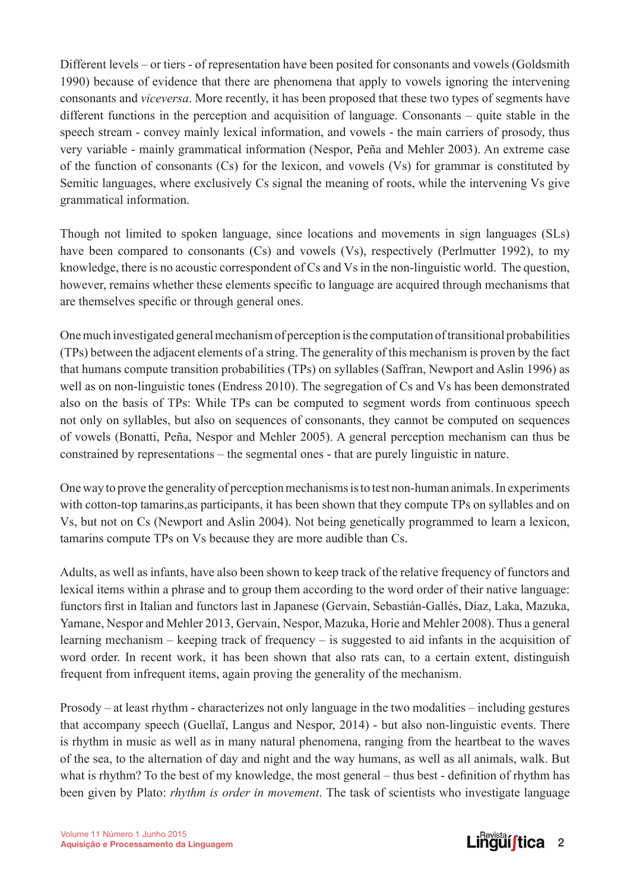Different levels – or tiers - of representation have been posited for consonants and vowels (Goldsmith 1990) because of evidence that there are phenomena that apply to vowels ignoring the intervening consonants and *viceversa*. More recently, it has been proposed that these two types of segments have different functions in the perception and acquisition of language. Consonants – quite stable in the speech stream - convey mainly lexical information, and vowels - the main carriers of prosody, thus very variable - mainly grammatical information (Nespor, Peña and Mehler 2003). An extreme case of the function of consonants (Cs) for the lexicon, and vowels (Vs) for grammar is constituted by Semitic languages, where exclusively Cs signal the meaning of roots, while the intervening Vs give grammatical information.

Though not limited to spoken language, since locations and movements in sign languages (SLs) have been compared to consonants (Cs) and vowels (Vs), respectively (Perlmutter 1992), to my knowledge, there is no acoustic correspondent of Cs and Vs in the non-linguistic world. The question, however, remains whether these elements specific to language are acquired through mechanisms that are themselves specific or through general ones.

One much investigated general mechanism of perception is the computation of transitional probabilities (TPs) between the adjacent elements of a string. The generality of this mechanism is proven by the fact that humans compute transition probabilities (TPs) on syllables (Saffran, Newport and Aslin 1996) as well as on non-linguistic tones (Endress 2010). The segregation of Cs and Vs has been demonstrated also on the basis of TPs: While TPs can be computed to segment words from continuous speech not only on syllables, but also on sequences of consonants, they cannot be computed on sequences of vowels (Bonatti, Peña, Nespor and Mehler 2005). A general perception mechanism can thus be constrained by representations – the segmental ones - that are purely linguistic in nature.

One way to prove the generality of perception mechanisms is to test non-human animals. In experiments with cotton-top tamarins, as participants, it has been shown that they compute TPs on syllables and on Vs, but not on Cs (Newport and Aslin 2004). Not being genetically programmed to learn a lexicon, tamarins compute TPs on Vs because they are more audible than Cs.

Adults, as well as infants, have also been shown to keep track of the relative frequency of functors and lexical items within a phrase and to group them according to the word order of their native language: functors first in Italian and functors last in Japanese (Gervain, Sebastián-Gallés, Díaz, Laka, Mazuka, Yamane, Nespor and Mehler 2013, Gervain, Nespor, Mazuka, Horie and Mehler 2008). Thus a general learning mechanism – keeping track of frequency – is suggested to aid infants in the acquisition of word order. In recent work, it has been shown that also rats can, to a certain extent, distinguish frequent from infrequent items, again proving the generality of the mechanism.

Prosody – at least rhythm - characterizes not only language in the two modalities – including gestures that accompany speech (Guellaï, Langus and Nespor, 2014) - but also non-linguistic events. There is rhythm in music as well as in many natural phenomena, ranging from the heartbeat to the waves of the sea, to the alternation of day and night and the way humans, as well as all animals, walk. But what is rhythm? To the best of my knowledge, the most general – thus best - definition of rhythm has been given by Plato: *rhythm is order in movement*. The task of scientists who investigate language

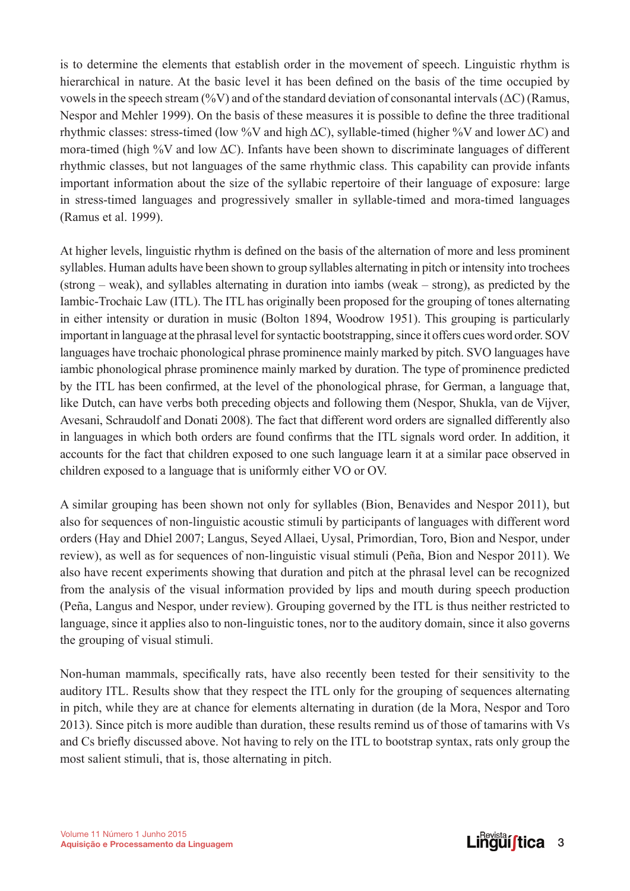is to determine the elements that establish order in the movement of speech. Linguistic rhythm is hierarchical in nature. At the basic level it has been defined on the basis of the time occupied by vowels in the speech stream (%V) and of the standard deviation of consonantal intervals ( $\Delta C$ ) (Ramus, Nespor and Mehler 1999). On the basis of these measures it is possible to define the three traditional rhythmic classes: stress-timed (low %V and high ΔC), syllable-timed (higher %V and lower ΔC) and mora-timed (high %V and low  $\Delta C$ ). Infants have been shown to discriminate languages of different rhythmic classes, but not languages of the same rhythmic class. This capability can provide infants important information about the size of the syllabic repertoire of their language of exposure: large in stress-timed languages and progressively smaller in syllable-timed and mora-timed languages (Ramus et al. 1999).

At higher levels, linguistic rhythm is defined on the basis of the alternation of more and less prominent syllables. Human adults have been shown to group syllables alternating in pitch or intensity into trochees (strong – weak), and syllables alternating in duration into iambs (weak – strong), as predicted by the Iambic-Trochaic Law (ITL). The ITL has originally been proposed for the grouping of tones alternating in either intensity or duration in music (Bolton 1894, Woodrow 1951). This grouping is particularly important in language at the phrasal level for syntactic bootstrapping, since it offers cues word order. SOV languages have trochaic phonological phrase prominence mainly marked by pitch. SVO languages have iambic phonological phrase prominence mainly marked by duration. The type of prominence predicted by the ITL has been confirmed, at the level of the phonological phrase, for German, a language that, like Dutch, can have verbs both preceding objects and following them (Nespor, Shukla, van de Vijver, Avesani, Schraudolf and Donati 2008). The fact that different word orders are signalled differently also in languages in which both orders are found confirms that the ITL signals word order. In addition, it accounts for the fact that children exposed to one such language learn it at a similar pace observed in children exposed to a language that is uniformly either VO or OV.

A similar grouping has been shown not only for syllables (Bion, Benavides and Nespor 2011), but also for sequences of non-linguistic acoustic stimuli by participants of languages with different word orders (Hay and Dhiel 2007; Langus, Seyed Allaei, Uysal, Primordian, Toro, Bion and Nespor, under review), as well as for sequences of non-linguistic visual stimuli (Peña, Bion and Nespor 2011). We also have recent experiments showing that duration and pitch at the phrasal level can be recognized from the analysis of the visual information provided by lips and mouth during speech production (Peña, Langus and Nespor, under review). Grouping governed by the ITL is thus neither restricted to language, since it applies also to non-linguistic tones, nor to the auditory domain, since it also governs the grouping of visual stimuli.

Non-human mammals, specifically rats, have also recently been tested for their sensitivity to the auditory ITL. Results show that they respect the ITL only for the grouping of sequences alternating in pitch, while they are at chance for elements alternating in duration (de la Mora, Nespor and Toro 2013). Since pitch is more audible than duration, these results remind us of those of tamarins with Vs and Cs briefly discussed above. Not having to rely on the ITL to bootstrap syntax, rats only group the most salient stimuli, that is, those alternating in pitch.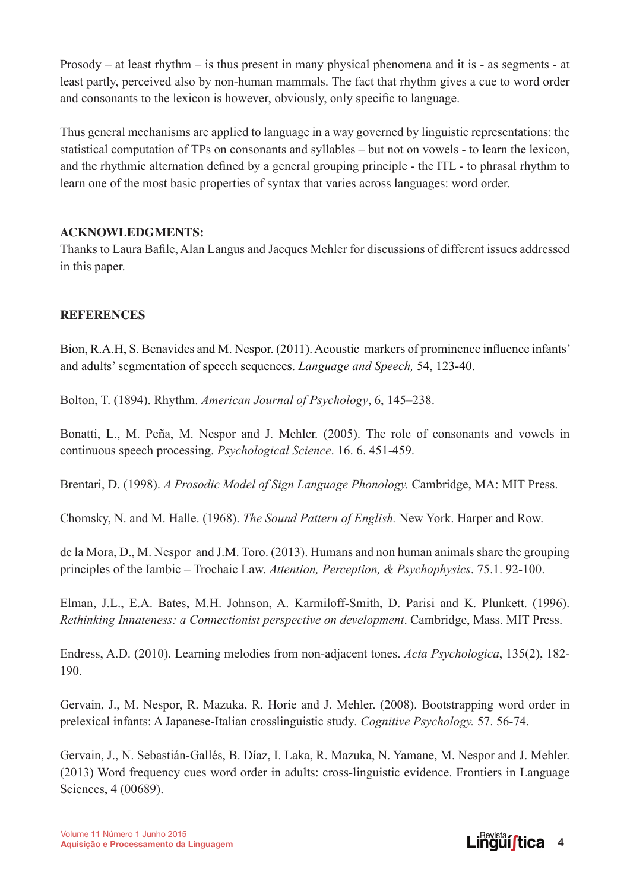Prosody – at least rhythm – is thus present in many physical phenomena and it is - as segments - at least partly, perceived also by non-human mammals. The fact that rhythm gives a cue to word order and consonants to the lexicon is however, obviously, only specific to language.

Thus general mechanisms are applied to language in a way governed by linguistic representations: the statistical computation of TPs on consonants and syllables – but not on vowels - to learn the lexicon, and the rhythmic alternation defined by a general grouping principle - the ITL - to phrasal rhythm to learn one of the most basic properties of syntax that varies across languages: word order.

## **Acknowledgments:**

Thanks to Laura Bafile, Alan Langus and Jacques Mehler for discussions of different issues addressed in this paper.

## **References**

Bion, R.A.H, S. Benavides and M. Nespor. (2011). Acoustic markers of prominence influence infants' and adults' segmentation of speech sequences. *Language and Speech,* 54, 123-40.

Bolton, T. (1894). Rhythm. *American Journal of Psychology*, 6, 145–238.

Bonatti, L., M. Peña, M. Nespor and J. Mehler. (2005). The role of consonants and vowels in continuous speech processing. *Psychological Science*. 16. 6. 451-459.

Brentari, D. (1998). *A Prosodic Model of Sign Language Phonology.* Cambridge, MA: MIT Press.

Chomsky, N. and M. Halle. (1968). *The Sound Pattern of English.* New York. Harper and Row.

de la Mora, D., M. Nespor and J.M. Toro. (2013). Humans and non human animals share the grouping principles of the Iambic – Trochaic Law. *Attention, Perception, & Psychophysics*. 75.1. 92-100.

Elman, J.L., E.A. Bates, M.H. Johnson, A. Karmiloff-Smith, D. Parisi and K. Plunkett. (1996). *Rethinking Innateness: a Connectionist perspective on development*. Cambridge, Mass. MIT Press.

Endress, A.D. (2010). Learning melodies from non-adjacent tones. *Acta Psychologica*, 135(2), 182- 190.

Gervain, J., M. Nespor, R. Mazuka, R. Horie and J. Mehler. (2008). Bootstrapping word order in prelexical infants: A Japanese-Italian crosslinguistic study*. Cognitive Psychology.* 57. 56-74.

Gervain, J., N. Sebastián-Gallés, B. Díaz, I. Laka, R. Mazuka, N. Yamane, M. Nespor and J. Mehler. (2013) Word frequency cues word order in adults: cross-linguistic evidence. Frontiers in Language Sciences, 4 (00689).

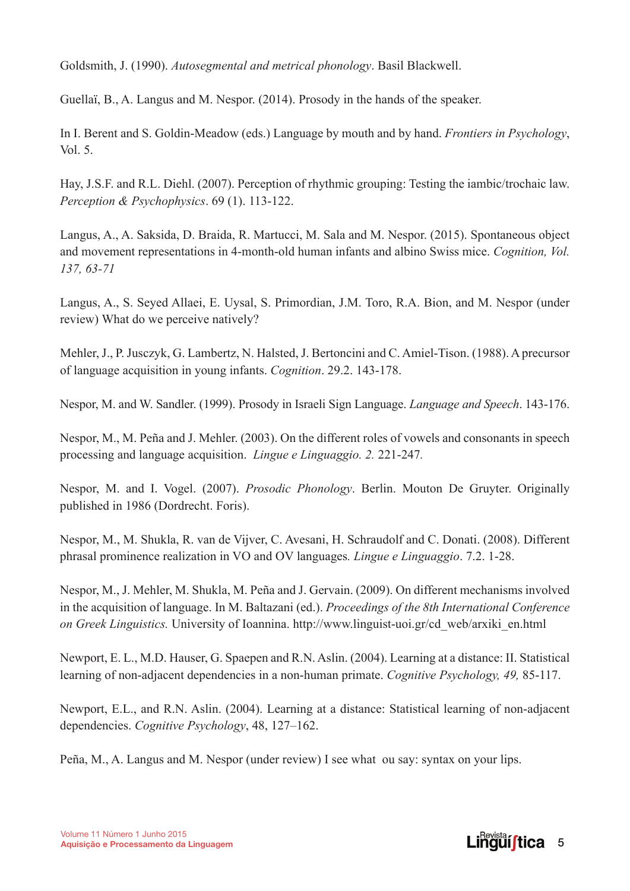Goldsmith, J. (1990). *Autosegmental and metrical phonology*. Basil Blackwell.

Guellaï, B., A. Langus and M. Nespor. (2014). Prosody in the hands of the speaker.

In I. Berent and S. Goldin-Meadow (eds.) Language by mouth and by hand. *Frontiers in Psychology*, Vol. 5.

Hay, J.S.F. and R.L. Diehl. (2007). Perception of rhythmic grouping: Testing the iambic/trochaic law. *Perception & Psychophysics*. 69 (1). 113-122.

Langus, A., A. Saksida, D. Braida, R. Martucci, M. Sala and M. Nespor. (2015). Spontaneous object and movement representations in 4-month-old human infants and albino Swiss mice. *Cognition, Vol. 137, 63-71*

Langus, A., S. Seyed Allaei, E. Uysal, S. Primordian, J.M. Toro, R.A. Bion, and M. Nespor (under review) What do we perceive natively?

Mehler, J., P. Jusczyk, G. Lambertz, N. Halsted, J. Bertoncini and C. Amiel-Tison. (1988). A precursor of language acquisition in young infants. *Cognition*. 29.2. 143-178.

Nespor, M. and W. Sandler. (1999). Prosody in Israeli Sign Language. *Language and Speech*. 143-176.

Nespor, M., M. Peña and J. Mehler. (2003). On the different roles of vowels and consonants in speech processing and language acquisition. *Lingue e Linguaggio. 2.* 221-247*.*

Nespor, M. and I. Vogel. (2007). *Prosodic Phonology*. Berlin. Mouton De Gruyter. Originally published in 1986 (Dordrecht. Foris).

Nespor, M., M. Shukla, R. van de Vijver, C. Avesani, H. Schraudolf and C. Donati. (2008). Different phrasal prominence realization in VO and OV languages*. Lingue e Linguaggio*. 7.2. 1-28.

Nespor, M., J. Mehler, M. Shukla, M. Peña and J. Gervain. (2009). On different mechanisms involved in the acquisition of language. In M. Baltazani (ed.). *Proceedings of the 8th International Conference on Greek Linguistics.* University of Ioannina. http://www.linguist-uoi.gr/cd\_web/arxiki\_en.html

Newport, E. L., M.D. Hauser, G. Spaepen and R.N. Aslin. (2004). Learning at a distance: II. Statistical learning of non-adjacent dependencies in a non-human primate. *Cognitive Psychology, 49,* 85-117.

Newport, E.L., and R.N. Aslin. (2004). Learning at a distance: Statistical learning of non-adjacent dependencies. *Cognitive Psychology*, 48, 127–162.

Peña, M., A. Langus and M. Nespor (under review) I see what ou say: syntax on your lips.